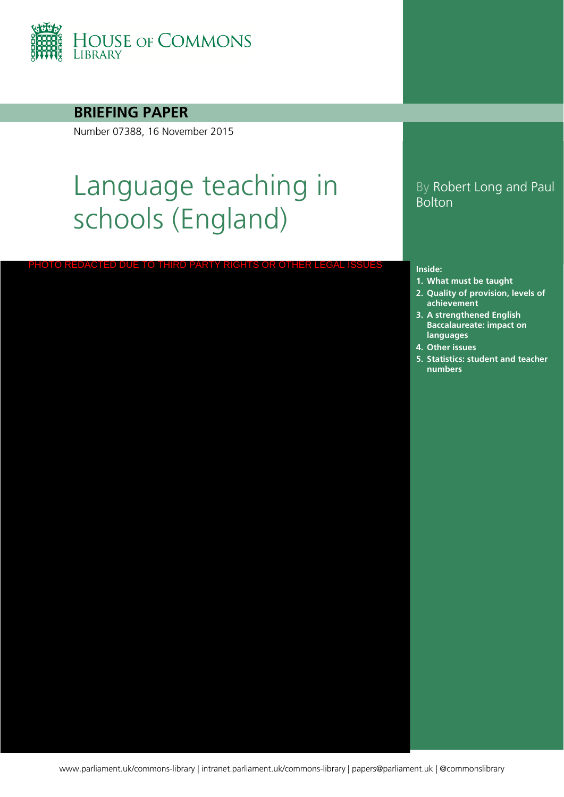

#### **BRIEFING PAPER**

Number 07388, 16 November 2015

# Language teaching in schools (England)

PHOTO REDACTED DUE TO THIRD PARTY RIGHTS OR OTHER LEGAL ISSUES

#### By Robert Long and Paul Bolton

#### **Inside:**

- **1. [What must be taught](#page-3-0)**
- **2. Quality of provision, levels of achievement**
- **3. A strengthened English Baccalaureate: impact on languages**
- **4. [Other issues](#page-18-0)**
- **5. Statistics: student and teacher numbers**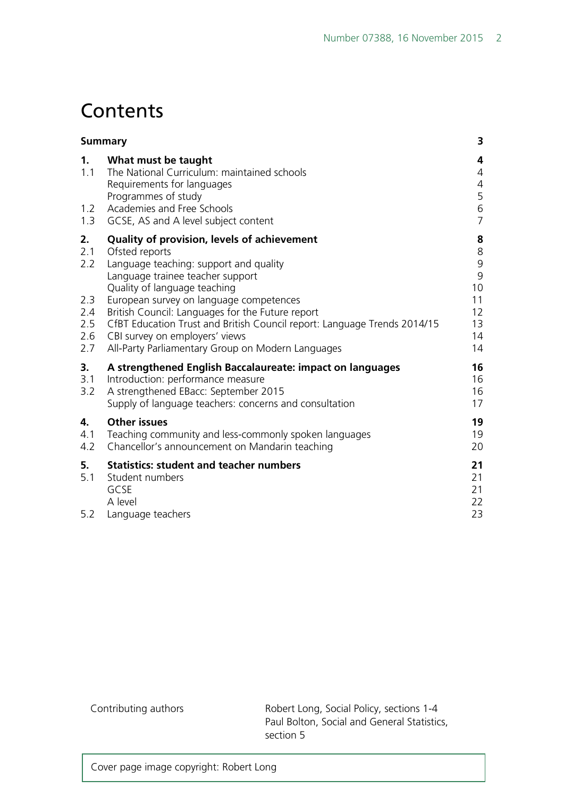## **Contents**

|                                                     | <b>Summary</b>                                                                                                                                                                                                                                                                                                                                                                                                                                | 3                                                                                   |
|-----------------------------------------------------|-----------------------------------------------------------------------------------------------------------------------------------------------------------------------------------------------------------------------------------------------------------------------------------------------------------------------------------------------------------------------------------------------------------------------------------------------|-------------------------------------------------------------------------------------|
| 1.<br>1.1<br>1.2<br>1.3                             | What must be taught<br>The National Curriculum: maintained schools<br>Requirements for languages<br>Programmes of study<br>Academies and Free Schools<br>GCSE, AS and A level subject content                                                                                                                                                                                                                                                 | 4<br>4<br>$\overline{4}$<br>5<br>6<br>$\overline{7}$                                |
| 2.<br>2.1<br>2.2<br>2.3<br>2.4<br>2.5<br>2.6<br>2.7 | Quality of provision, levels of achievement<br>Ofsted reports<br>Language teaching: support and quality<br>Language trainee teacher support<br>Quality of language teaching<br>European survey on language competences<br>British Council: Languages for the Future report<br>CfBT Education Trust and British Council report: Language Trends 2014/15<br>CBI survey on employers' views<br>All-Party Parliamentary Group on Modern Languages | 8<br>$\begin{array}{c} 8 \\ 9 \end{array}$<br>9<br>10<br>11<br>12<br>13<br>14<br>14 |
| 3.<br>3.1<br>3.2                                    | A strengthened English Baccalaureate: impact on languages<br>Introduction: performance measure<br>A strengthened EBacc: September 2015<br>Supply of language teachers: concerns and consultation                                                                                                                                                                                                                                              | 16<br>16<br>16<br>17                                                                |
| 4.<br>4.1<br>4.2                                    | <b>Other issues</b><br>Teaching community and less-commonly spoken languages<br>Chancellor's announcement on Mandarin teaching                                                                                                                                                                                                                                                                                                                | 19<br>19<br>20                                                                      |
| 5.<br>5.1<br>5.2                                    | <b>Statistics: student and teacher numbers</b><br>Student numbers<br>GCSE<br>A level<br>Language teachers                                                                                                                                                                                                                                                                                                                                     | 21<br>21<br>21<br>22<br>23                                                          |

Contributing authors **Robert Long, Social Policy, sections 1-4** Paul Bolton, Social and General Statistics, section 5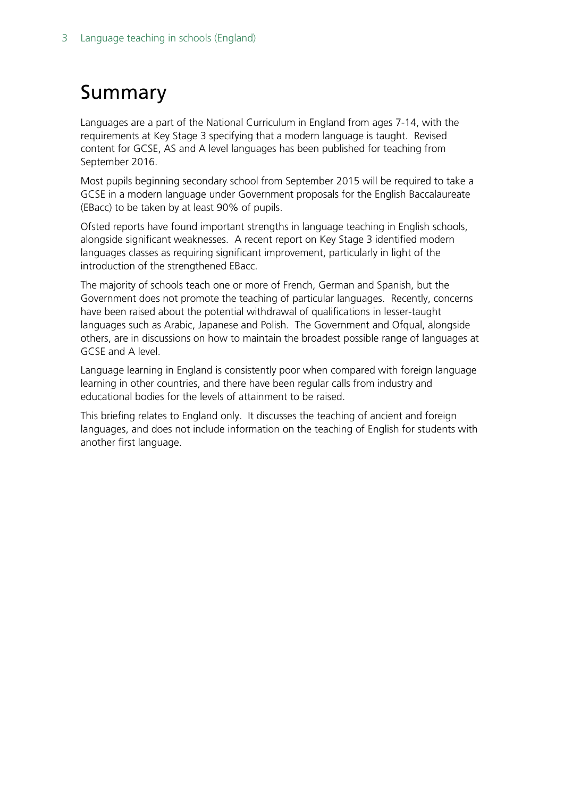## <span id="page-2-0"></span>Summary

Languages are a part of the National Curriculum in England from ages 7-14, with the requirements at Key Stage 3 specifying that a modern language is taught. Revised content for GCSE, AS and A level languages has been published for teaching from September 2016.

Most pupils beginning secondary school from September 2015 will be required to take a GCSE in a modern language under Government proposals for the English Baccalaureate (EBacc) to be taken by at least 90% of pupils.

Ofsted reports have found important strengths in language teaching in English schools, alongside significant weaknesses. A recent report on Key Stage 3 identified modern languages classes as requiring significant improvement, particularly in light of the introduction of the strengthened EBacc.

The majority of schools teach one or more of French, German and Spanish, but the Government does not promote the teaching of particular languages. Recently, concerns have been raised about the potential withdrawal of qualifications in lesser-taught languages such as Arabic, Japanese and Polish. The Government and Ofqual, alongside others, are in discussions on how to maintain the broadest possible range of languages at GCSE and A level.

Language learning in England is consistently poor when compared with foreign language learning in other countries, and there have been regular calls from industry and educational bodies for the levels of attainment to be raised.

This briefing relates to England only. It discusses the teaching of ancient and foreign languages, and does not include information on the teaching of English for students with another first language.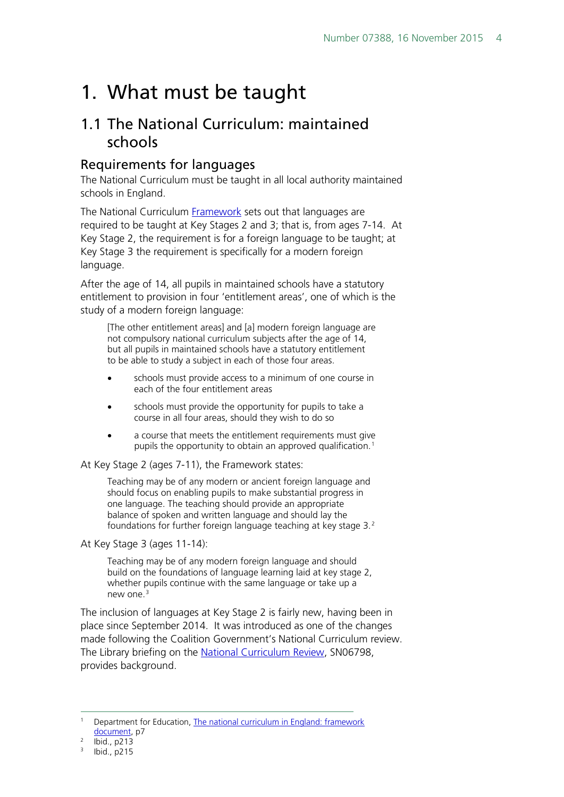## <span id="page-3-0"></span>1. What must be taught

### <span id="page-3-1"></span>1.1 The National Curriculum: maintained schools

#### <span id="page-3-2"></span>Requirements for languages

The National Curriculum must be taught in all local authority maintained schools in England.

The National Curriculum **[Framework](https://www.gov.uk/government/uploads/system/uploads/attachment_data/file/210969/NC_framework_document_-_FINAL.pdf)** sets out that languages are required to be taught at Key Stages 2 and 3; that is, from ages 7-14. At Key Stage 2, the requirement is for a foreign language to be taught; at Key Stage 3 the requirement is specifically for a modern foreign language.

After the age of 14, all pupils in maintained schools have a statutory entitlement to provision in four 'entitlement areas', one of which is the study of a modern foreign language:

[The other entitlement areas] and [a] modern foreign language are not compulsory national curriculum subjects after the age of 14, but all pupils in maintained schools have a statutory entitlement to be able to study a subject in each of those four areas.

- schools must provide access to a minimum of one course in each of the four entitlement areas
- schools must provide the opportunity for pupils to take a course in all four areas, should they wish to do so
- a course that meets the entitlement requirements must give pupils the opportunity to obtain an approved qualification.<sup>[1](#page-3-3)</sup>

At Key Stage 2 (ages 7-11), the Framework states:

Teaching may be of any modern or ancient foreign language and should focus on enabling pupils to make substantial progress in one language. The teaching should provide an appropriate balance of spoken and written language and should lay the foundations for further foreign language teaching at key stage 3.[2](#page-3-4)

At Key Stage 3 (ages 11-14):

Teaching may be of any modern foreign language and should build on the foundations of language learning laid at key stage 2, whether pupils continue with the same language or take up a new one.<sup>[3](#page-3-5)</sup>

The inclusion of languages at Key Stage 2 is fairly new, having been in place since September 2014. It was introduced as one of the changes made following the Coalition Government's National Curriculum review. The Library briefing on the [National Curriculum Review,](http://researchbriefings.parliament.uk/ResearchBriefing/Summary/SN06798) SN06798, provides background.

<span id="page-3-3"></span> <sup>1</sup> Department for Education, [The national curriculum in England: framework](https://www.gov.uk/government/uploads/system/uploads/attachment_data/file/210969/NC_framework_document_-_FINAL.pdf)  [document,](https://www.gov.uk/government/uploads/system/uploads/attachment_data/file/210969/NC_framework_document_-_FINAL.pdf) p7

<span id="page-3-5"></span><span id="page-3-4"></span> $^{2}$  Ibid., p213

Ibid., p215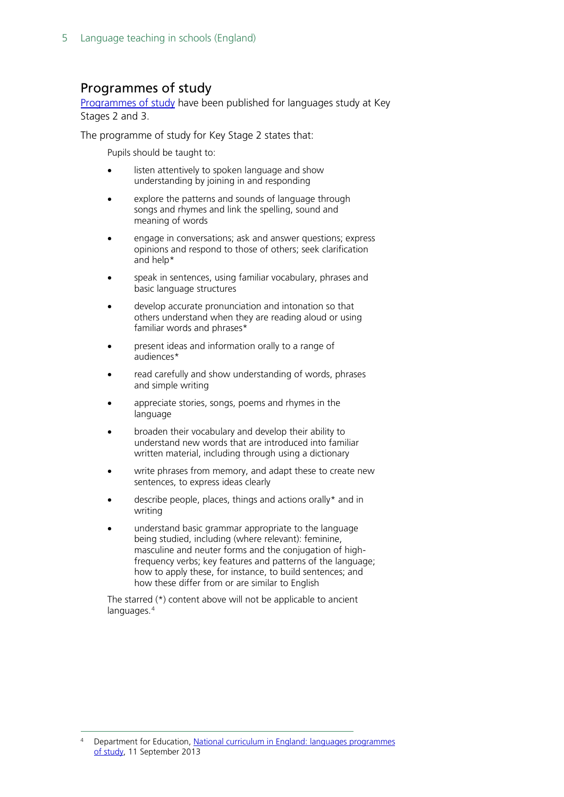#### <span id="page-4-0"></span>Programmes of study

[Programmes of study](https://www.gov.uk/government/publications/national-curriculum-in-england-languages-progammes-of-study/national-curriculum-in-england-languages-progammes-of-study) have been published for languages study at Key Stages 2 and 3.

The programme of study for Key Stage 2 states that:

Pupils should be taught to:

- listen attentively to spoken language and show understanding by joining in and responding
- explore the patterns and sounds of language through songs and rhymes and link the spelling, sound and meaning of words
- engage in conversations; ask and answer questions; express opinions and respond to those of others; seek clarification and help\*
- speak in sentences, using familiar vocabulary, phrases and basic language structures
- develop accurate pronunciation and intonation so that others understand when they are reading aloud or using familiar words and phrases\*
- present ideas and information orally to a range of audiences\*
- read carefully and show understanding of words, phrases and simple writing
- appreciate stories, songs, poems and rhymes in the language
- broaden their vocabulary and develop their ability to understand new words that are introduced into familiar written material, including through using a dictionary
- write phrases from memory, and adapt these to create new sentences, to express ideas clearly
- describe people, places, things and actions orally\* and in writing
- understand basic grammar appropriate to the language being studied, including (where relevant): feminine, masculine and neuter forms and the conjugation of highfrequency verbs; key features and patterns of the language; how to apply these, for instance, to build sentences; and how these differ from or are similar to English

The starred (\*) content above will not be applicable to ancient languages.<sup>[4](#page-4-1)</sup>

<span id="page-4-1"></span>Department for Education, National curriculum in England: languages programmes [of study,](https://www.gov.uk/government/publications/national-curriculum-in-england-languages-progammes-of-study/national-curriculum-in-england-languages-progammes-of-study) 11 September 2013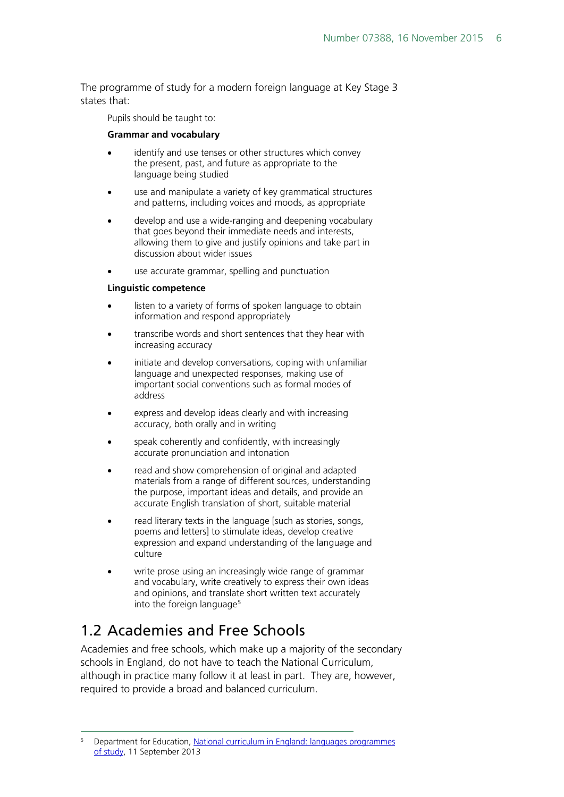The programme of study for a modern foreign language at Key Stage 3 states that:

Pupils should be taught to:

#### **Grammar and vocabulary**

- identify and use tenses or other structures which convey the present, past, and future as appropriate to the language being studied
- use and manipulate a variety of key grammatical structures and patterns, including voices and moods, as appropriate
- develop and use a wide-ranging and deepening vocabulary that goes beyond their immediate needs and interests, allowing them to give and justify opinions and take part in discussion about wider issues
- use accurate grammar, spelling and punctuation

#### **Linguistic competence**

- listen to a variety of forms of spoken language to obtain information and respond appropriately
- transcribe words and short sentences that they hear with increasing accuracy
- initiate and develop conversations, coping with unfamiliar language and unexpected responses, making use of important social conventions such as formal modes of address
- express and develop ideas clearly and with increasing accuracy, both orally and in writing
- speak coherently and confidently, with increasingly accurate pronunciation and intonation
- read and show comprehension of original and adapted materials from a range of different sources, understanding the purpose, important ideas and details, and provide an accurate English translation of short, suitable material
- read literary texts in the language [such as stories, songs, poems and letters] to stimulate ideas, develop creative expression and expand understanding of the language and culture
- write prose using an increasingly wide range of grammar and vocabulary, write creatively to express their own ideas and opinions, and translate short written text accurately into the foreign language<sup>[5](#page-5-1)</sup>

## <span id="page-5-0"></span>1.2 Academies and Free Schools

Academies and free schools, which make up a majority of the secondary schools in England, do not have to teach the National Curriculum, although in practice many follow it at least in part. They are, however, required to provide a broad and balanced curriculum.

<span id="page-5-1"></span> <sup>5</sup> Department for Education, [National curriculum in England: languages programmes](https://www.gov.uk/government/publications/national-curriculum-in-england-languages-progammes-of-study/national-curriculum-in-england-languages-progammes-of-study)  [of study,](https://www.gov.uk/government/publications/national-curriculum-in-england-languages-progammes-of-study/national-curriculum-in-england-languages-progammes-of-study) 11 September 2013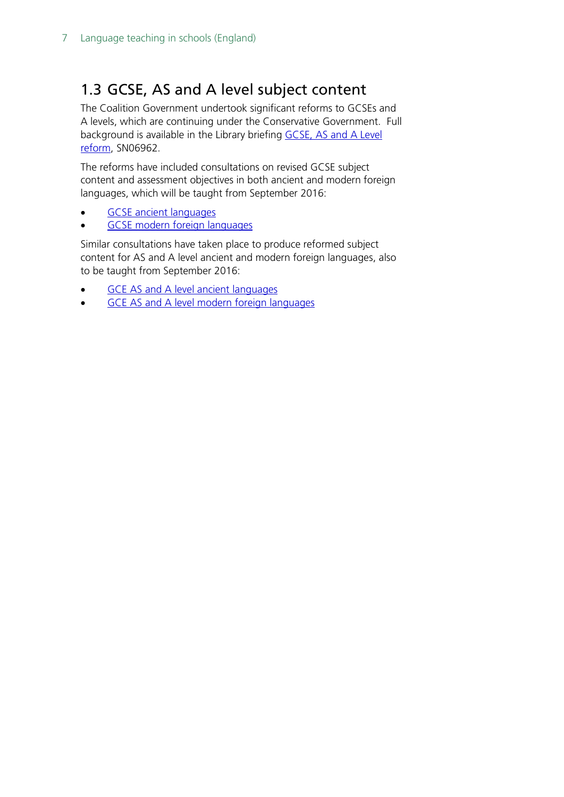## <span id="page-6-0"></span>1.3 GCSE, AS and A level subject content

The Coalition Government undertook significant reforms to GCSEs and A levels, which are continuing under the Conservative Government. Full background is available in the Library briefing [GCSE, AS and A Level](http://researchbriefings.parliament.uk/ResearchBriefing/Summary/SN06962)  [reform,](http://researchbriefings.parliament.uk/ResearchBriefing/Summary/SN06962) SN06962.

The reforms have included consultations on revised GCSE subject content and assessment objectives in both ancient and modern foreign languages, which will be taught from September 2016:

- **GCSE** ancient languages
- [GCSE modern foreign languages](https://www.gov.uk/government/publications/gcse-modern-foreign-languages)

Similar consultations have taken place to produce reformed subject content for AS and A level ancient and modern foreign languages, also to be taught from September 2016:

- [GCE AS and A level ancient languages](https://www.gov.uk/government/publications/gce-as-and-a-level-ancient-languages)
- [GCE AS and A level modern foreign languages](https://www.gov.uk/government/publications/gce-as-and-a-level-modern-foreign-languages)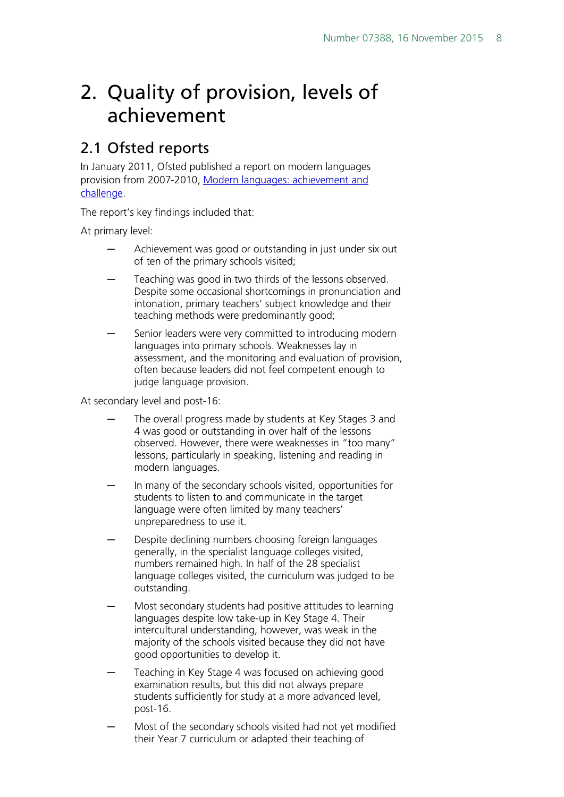## <span id="page-7-0"></span>2. Quality of provision, levels of achievement

## <span id="page-7-1"></span>2.1 Ofsted reports

In January 2011, Ofsted published a report on modern languages provision from 2007-2010, [Modern languages: achievement and](https://www.gov.uk/government/uploads/system/uploads/attachment_data/file/413782/Modern_languages_achievement_and_challenge_2007-2010.pdf)  [challenge.](https://www.gov.uk/government/uploads/system/uploads/attachment_data/file/413782/Modern_languages_achievement_and_challenge_2007-2010.pdf)

The report's key findings included that:

At primary level:

- Achievement was good or outstanding in just under six out of ten of the primary schools visited;
- Teaching was good in two thirds of the lessons observed. Despite some occasional shortcomings in pronunciation and intonation, primary teachers' subject knowledge and their teaching methods were predominantly good;
- Senior leaders were very committed to introducing modern languages into primary schools. Weaknesses lay in assessment, and the monitoring and evaluation of provision, often because leaders did not feel competent enough to judge language provision.

At secondary level and post-16:

- The overall progress made by students at Key Stages 3 and 4 was good or outstanding in over half of the lessons observed. However, there were weaknesses in "too many" lessons, particularly in speaking, listening and reading in modern languages.
- In many of the secondary schools visited, opportunities for students to listen to and communicate in the target language were often limited by many teachers' unpreparedness to use it.
- Despite declining numbers choosing foreign languages generally, in the specialist language colleges visited, numbers remained high. In half of the 28 specialist language colleges visited, the curriculum was judged to be outstanding.
- Most secondary students had positive attitudes to learning languages despite low take-up in Key Stage 4. Their intercultural understanding, however, was weak in the majority of the schools visited because they did not have good opportunities to develop it.
- Teaching in Key Stage 4 was focused on achieving good examination results, but this did not always prepare students sufficiently for study at a more advanced level, post-16.
- Most of the secondary schools visited had not yet modified their Year 7 curriculum or adapted their teaching of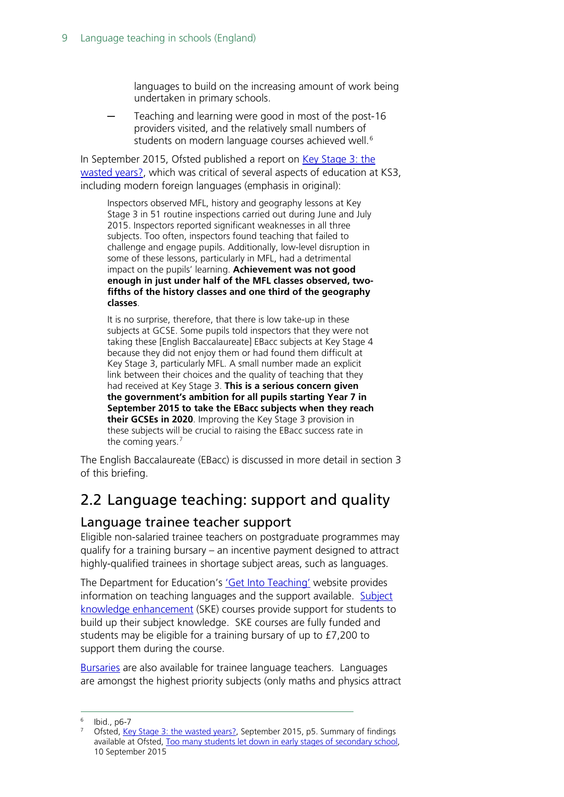languages to build on the increasing amount of work being undertaken in primary schools.

Teaching and learning were good in most of the post-16 providers visited, and the relatively small numbers of students on modern language courses achieved well.<sup>[6](#page-8-2)</sup>

In September 2015, Ofsted published a report on Key Stage 3: the [wasted years?,](https://www.gov.uk/government/uploads/system/uploads/attachment_data/file/459830/Key_Stage_3_the_wasted_years.pdf) which was critical of several aspects of education at KS3, including modern foreign languages (emphasis in original):

Inspectors observed MFL, history and geography lessons at Key Stage 3 in 51 routine inspections carried out during June and July 2015. Inspectors reported significant weaknesses in all three subjects. Too often, inspectors found teaching that failed to challenge and engage pupils. Additionally, low-level disruption in some of these lessons, particularly in MFL, had a detrimental impact on the pupils' learning. **Achievement was not good enough in just under half of the MFL classes observed, twofifths of the history classes and one third of the geography classes**.

It is no surprise, therefore, that there is low take-up in these subjects at GCSE. Some pupils told inspectors that they were not taking these [English Baccalaureate] EBacc subjects at Key Stage 4 because they did not enjoy them or had found them difficult at Key Stage 3, particularly MFL. A small number made an explicit link between their choices and the quality of teaching that they had received at Key Stage 3. **This is a serious concern given the government's ambition for all pupils starting Year 7 in September 2015 to take the EBacc subjects when they reach their GCSEs in 2020**. Improving the Key Stage 3 provision in these subjects will be crucial to raising the EBacc success rate in the coming years.<sup>[7](#page-8-3)</sup>

The English Baccalaureate (EBacc) is discussed in more detail in section 3 of this briefing.

### <span id="page-8-0"></span>2.2 Language teaching: support and quality

#### <span id="page-8-1"></span>Language trainee teacher support

Eligible non-salaried trainee teachers on postgraduate programmes may qualify for a training bursary – an incentive payment designed to attract highly-qualified trainees in shortage subject areas, such as languages.

The Department for Education's ['Get Into Teaching'](https://getintoteaching.education.gov.uk/explore-my-options/teach-languages) website provides information on teaching languages and the support available. Subject [knowledge enhancement](https://getintoteaching.education.gov.uk/subject-knowledge-enhancement-ske-courses) (SKE) courses provide support for students to build up their subject knowledge. SKE courses are fully funded and students may be eligible for a training bursary of up to £7,200 to support them during the course.

[Bursaries](https://getintoteaching.education.gov.uk/explore-my-options/funding-for-training-to-teach-languages) are also available for trainee language teachers. Languages are amongst the highest priority subjects (only maths and physics attract

<span id="page-8-2"></span> $6$  Ibid., p6-7

<span id="page-8-3"></span><sup>&</sup>lt;sup>7</sup> Ofsted, [Key Stage 3: the wasted years?,](https://www.gov.uk/government/publications/key-stage-3-the-wasted-years) September 2015, p5. Summary of findings available at Ofsted, [Too many students let down in early stages of secondary school,](https://www.gov.uk/government/news/too-many-students-let-down-in-early-stages-of-secondary-school) 10 September 2015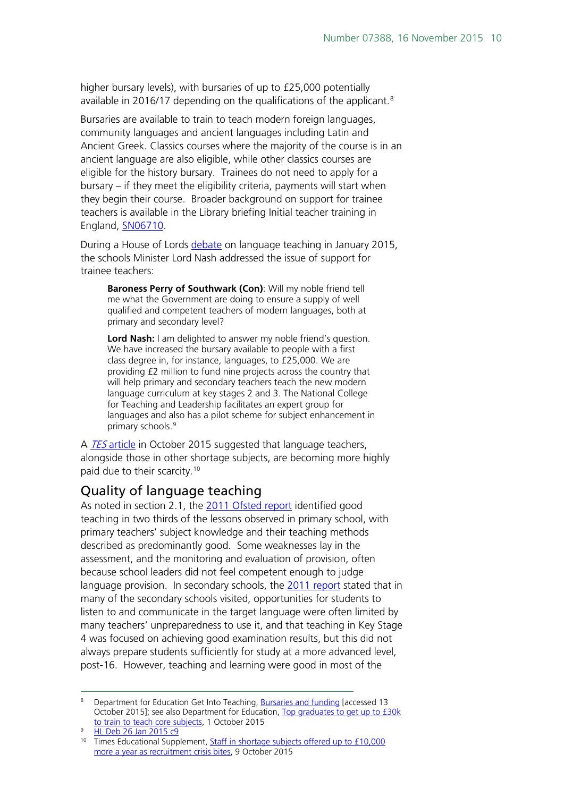higher bursary levels), with bursaries of up to £25,000 potentially available in 2016/17 depending on the qualifications of the applicant.<sup>[8](#page-9-1)</sup>

Bursaries are available to train to teach modern foreign languages, community languages and ancient languages including Latin and Ancient Greek. Classics courses where the majority of the course is in an ancient language are also eligible, while other classics courses are eligible for the history bursary. Trainees do not need to apply for a bursary – if they meet the eligibility criteria, payments will start when they begin their course. Broader background on support for trainee teachers is available in the Library briefing Initial teacher training in England, [SN06710.](http://researchbriefings.parliament.uk/ResearchBriefing/Summary/SN06710)

During a House of Lords [debate](http://www.publications.parliament.uk/pa/ld201415/ldhansrd/text/150126-0001.htm#15012613000051) on language teaching in January 2015, the schools Minister Lord Nash addressed the issue of support for trainee teachers:

**Baroness Perry of Southwark (Con)**: Will my noble friend tell me what the Government are doing to ensure a supply of well qualified and competent teachers of modern languages, both at primary and secondary level?

**Lord Nash:** I am delighted to answer my noble friend's question. We have increased the bursary available to people with a first class degree in, for instance, languages, to £25,000. We are providing £2 million to fund nine projects across the country that will help primary and secondary teachers teach the new modern language curriculum at key stages 2 and 3. The National College for Teaching and Leadership facilitates an expert group for languages and also has a pilot scheme for subject enhancement in primary schools.<sup>[9](#page-9-2)</sup>

A **TES [article](https://www.tes.com/news/school-news/breaking-news/staff-shortage-subjects-offered-%C2%A310000-more-a-year-recruitment-crisis)** in October 2015 suggested that language teachers, alongside those in other shortage subjects, are becoming more highly paid due to their scarcity.<sup>[10](#page-9-3)</sup>

#### <span id="page-9-0"></span>Quality of language teaching

As noted in section 2.1, the [2011 Ofsted report](https://www.gov.uk/government/uploads/system/uploads/attachment_data/file/413782/Modern_languages_achievement_and_challenge_2007-2010.pdf) identified good teaching in two thirds of the lessons observed in primary school, with primary teachers' subject knowledge and their teaching methods described as predominantly good. Some weaknesses lay in the assessment, and the monitoring and evaluation of provision, often because school leaders did not feel competent enough to judge language provision. In secondary schools, the [2011 report](https://www.gov.uk/government/uploads/system/uploads/attachment_data/file/413782/Modern_languages_achievement_and_challenge_2007-2010.pdf) stated that in many of the secondary schools visited, opportunities for students to listen to and communicate in the target language were often limited by many teachers' unpreparedness to use it, and that teaching in Key Stage 4 was focused on achieving good examination results, but this did not always prepare students sufficiently for study at a more advanced level, post-16. However, teaching and learning were good in most of the

<span id="page-9-1"></span>Bepartment for Education Get Into Teaching, [Bursaries and funding](https://getintoteaching.education.gov.uk/bursaries-and-funding) [accessed 13 October 2015]; see also Department for Education, [Top graduates to get up to £30k](https://www.gov.uk/government/news/top-graduates-to-get-up-to-30k-to-train-to-teach-core-subjects)  [to train to teach core subjects,](https://www.gov.uk/government/news/top-graduates-to-get-up-to-30k-to-train-to-teach-core-subjects) 1 October 2015

<span id="page-9-2"></span><sup>&</sup>lt;sup>9</sup> [HL Deb 26 Jan 2015 c9](http://www.publications.parliament.uk/pa/ld201415/ldhansrd/text/150126-0001.htm#15012613000051)

<span id="page-9-3"></span><sup>&</sup>lt;sup>10</sup> Times Educational Supplement, Staff in shortage subjects offered up to £10,000 [more a year as recruitment crisis bites,](https://www.tes.com/news/school-news/breaking-news/staff-shortage-subjects-offered-%C2%A310000-more-a-year-recruitment-crisis) 9 October 2015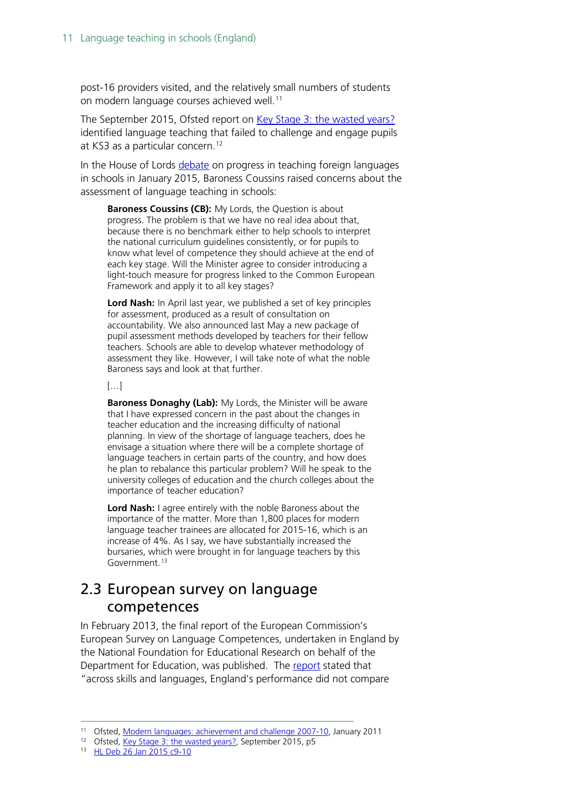post-16 providers visited, and the relatively small numbers of students on modern language courses achieved well.<sup>[11](#page-10-1)</sup>

The September 2015, Ofsted report on [Key Stage 3: the wasted years?](https://www.gov.uk/government/uploads/system/uploads/attachment_data/file/459830/Key_Stage_3_the_wasted_years.pdf) identified language teaching that failed to challenge and engage pupils at KS3 as a particular concern.<sup>[12](#page-10-2)</sup>

In the House of Lords [debate](http://www.publications.parliament.uk/pa/ld201415/ldhansrd/text/150126-0001.htm#15012613000051) on progress in teaching foreign languages in schools in January 2015, Baroness Coussins raised concerns about the assessment of language teaching in schools:

**Baroness Coussins (CB):** My Lords, the Question is about progress. The problem is that we have no real idea about that, because there is no benchmark either to help schools to interpret the national curriculum guidelines consistently, or for pupils to know what level of competence they should achieve at the end of each key stage. Will the Minister agree to consider introducing a light-touch measure for progress linked to the Common European Framework and apply it to all key stages?

**Lord Nash:** In April last year, we published a set of key principles for assessment, produced as a result of consultation on accountability. We also announced last May a new package of pupil assessment methods developed by teachers for their fellow teachers. Schools are able to develop whatever methodology of assessment they like. However, I will take note of what the noble Baroness says and look at that further.

[…]

**Baroness Donaghy (Lab):** My Lords, the Minister will be aware that I have expressed concern in the past about the changes in teacher education and the increasing difficulty of national planning. In view of the shortage of language teachers, does he envisage a situation where there will be a complete shortage of language teachers in certain parts of the country, and how does he plan to rebalance this particular problem? Will he speak to the university colleges of education and the church colleges about the importance of teacher education?

**Lord Nash:** I agree entirely with the noble Baroness about the importance of the matter. More than 1,800 places for modern language teacher trainees are allocated for 2015-16, which is an increase of 4%. As I say, we have substantially increased the bursaries, which were brought in for language teachers by this Government.<sup>[13](#page-10-3)</sup>

### <span id="page-10-0"></span>2.3 European survey on language competences

In February 2013, the final report of the European Commission's European Survey on Language Competences, undertaken in England by the National Foundation for Educational Research on behalf of the Department for Education, was published. The [report](https://www.gov.uk/government/publications/european-survey-on-language-competences-language-proficiency-in-england) stated that "across skills and languages, England's performance did not compare

 <sup>11</sup> Ofsted, [Modern languages: achievement and challenge 2007-10,](https://www.gov.uk/government/uploads/system/uploads/attachment_data/file/413782/Modern_languages_achievement_and_challenge_2007-2010.pdf) January 2011

<span id="page-10-3"></span><span id="page-10-2"></span><span id="page-10-1"></span><sup>12</sup> Ofsted, [Key Stage 3: the wasted years?,](https://www.gov.uk/government/publications/key-stage-3-the-wasted-years) September 2015, p5

<sup>13</sup> [HL Deb 26 Jan 2015 c9-](http://www.publications.parliament.uk/pa/ld201415/ldhansrd/text/150126-0001.htm#15012613000051)10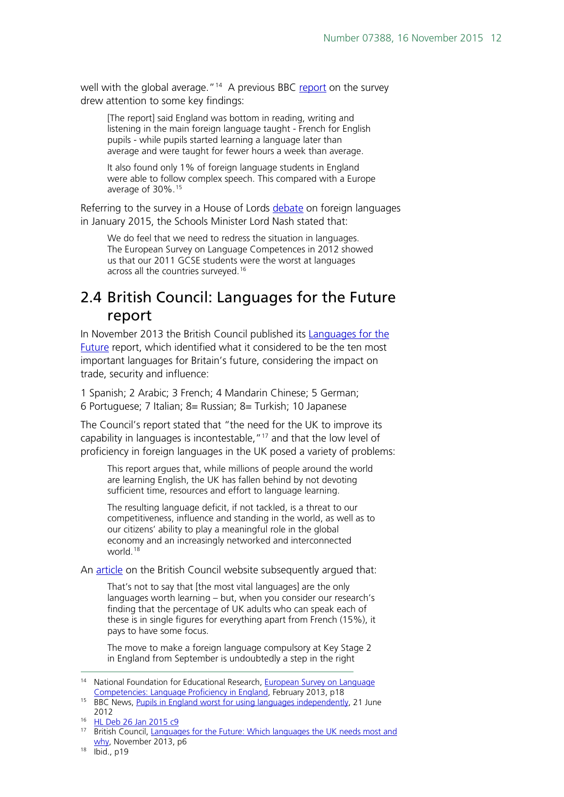well with the global average."<sup>14</sup> A previous BBC [report](http://www.bbc.co.uk/news/education-18531751) on the survey drew attention to some key findings:

[The report] said England was bottom in reading, writing and listening in the main foreign language taught - French for English pupils - while pupils started learning a language later than average and were taught for fewer hours a week than average.

It also found only 1% of foreign language students in England were able to follow complex speech. This compared with a Europe average of 30%.[15](#page-11-2)

Referring to the survey in a House of Lords [debate](http://www.publications.parliament.uk/pa/ld201415/ldhansrd/text/150126-0001.htm#15012613000051) on foreign languages in January 2015, the Schools Minister Lord Nash stated that:

We do feel that we need to redress the situation in languages. The European Survey on Language Competences in 2012 showed us that our 2011 GCSE students were the worst at languages across all the countries surveyed.<sup>[16](#page-11-3)</sup>

### <span id="page-11-0"></span>2.4 British Council: Languages for the Future report

In November 2013 the British Council published its [Languages for the](http://www.britishcouncil.org/organisation/policy-insight-research/research/languages-future) [Future](http://www.britishcouncil.org/organisation/policy-insight-research/research/languages-future) report, which identified what it considered to be the ten most important languages for Britain's future, considering the impact on trade, security and influence:

1 Spanish; 2 Arabic; 3 French; 4 Mandarin Chinese; 5 German; 6 Portuguese; 7 Italian; 8= Russian; 8= Turkish; 10 Japanese

The Council's report stated that "the need for the UK to improve its capability in languages is incontestable,"<sup>17</sup> and that the low level of proficiency in foreign languages in the UK posed a variety of problems:

This report argues that, while millions of people around the world are learning English, the UK has fallen behind by not devoting sufficient time, resources and effort to language learning.

The resulting language deficit, if not tackled, is a threat to our competitiveness, influence and standing in the world, as well as to our citizens' ability to play a meaningful role in the global economy and an increasingly networked and interconnected world.<sup>[18](#page-11-5)</sup>

An [article](http://www.britishcouncil.org/voices-magazine/why-uk-schools-need-foreign-languages-now) on the British Council website subsequently argued that:

That's not to say that [the most vital languages] are the only languages worth learning – but, when you consider our research's finding that the percentage of UK adults who can speak each of these is in single figures for everything apart from French (15%), it pays to have some focus.

The move to make a foreign language compulsory at Key Stage 2 in England from September is undoubtedly a step in the right

<span id="page-11-1"></span><sup>&</sup>lt;sup>14</sup> National Foundation for Educational Research, European Survey on Language [Competencies: Language Proficiency in England,](https://www.gov.uk/government/uploads/system/uploads/attachment_data/file/219649/DfE-RR278.pdf) February 2013, p18

<span id="page-11-2"></span><sup>&</sup>lt;sup>15</sup> BBC News, [Pupils in England worst for using languages independently,](http://www.bbc.co.uk/news/education-18531751) 21 June 2012

<span id="page-11-3"></span><sup>16</sup> [HL Deb 26 Jan 2015 c9](http://www.publications.parliament.uk/pa/ld201415/ldhansrd/text/150126-0001.htm#15012613000051)

<span id="page-11-4"></span><sup>&</sup>lt;sup>17</sup> British Council, Languages for the Future: Which languages the UK needs most and [why,](http://www.britishcouncil.org/sites/britishcouncil.uk2/files/languages-for-the-future-report-v3.pdf) November 2013, p6

<span id="page-11-5"></span><sup>18</sup> Ibid., p19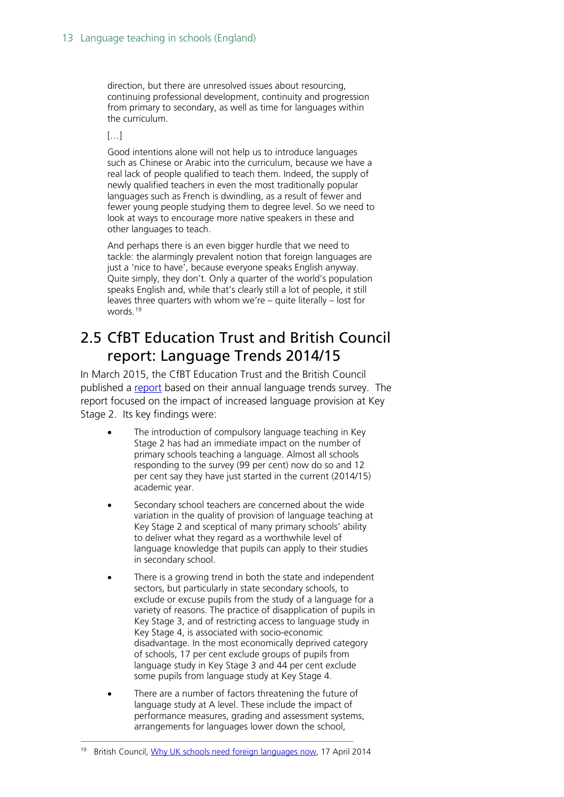direction, but there are unresolved issues about resourcing, continuing professional development, continuity and progression from primary to secondary, as well as time for languages within the curriculum.

 $[...]$ 

Good intentions alone will not help us to introduce languages such as Chinese or Arabic into the curriculum, because we have a real lack of people qualified to teach them. Indeed, the supply of newly qualified teachers in even the most traditionally popular languages such as French is dwindling, as a result of fewer and fewer young people studying them to degree level. So we need to look at ways to encourage more native speakers in these and other languages to teach.

And perhaps there is an even bigger hurdle that we need to tackle: the alarmingly prevalent notion that foreign languages are just a 'nice to have', because everyone speaks English anyway. Quite simply, they don't. Only a quarter of the world's population speaks English and, while that's clearly still a lot of people, it still leaves three quarters with whom we're – quite literally – lost for words.<sup>[19](#page-12-1)</sup>

### <span id="page-12-0"></span>2.5 CfBT Education Trust and British Council report: Language Trends 2014/15

In March 2015, the CfBT Education Trust and the British Council published a [report](https://www.cfbt.com/en-GB/Research/Research-library/2015/r-language-trends-2015) based on their annual language trends survey. The report focused on the impact of increased language provision at Key Stage 2. Its key findings were:

- The introduction of compulsory language teaching in Key Stage 2 has had an immediate impact on the number of primary schools teaching a language. Almost all schools responding to the survey (99 per cent) now do so and 12 per cent say they have just started in the current (2014/15) academic year.
- Secondary school teachers are concerned about the wide variation in the quality of provision of language teaching at Key Stage 2 and sceptical of many primary schools' ability to deliver what they regard as a worthwhile level of language knowledge that pupils can apply to their studies in secondary school.
- There is a growing trend in both the state and independent sectors, but particularly in state secondary schools, to exclude or excuse pupils from the study of a language for a variety of reasons. The practice of disapplication of pupils in Key Stage 3, and of restricting access to language study in Key Stage 4, is associated with socio-economic disadvantage. In the most economically deprived category of schools, 17 per cent exclude groups of pupils from language study in Key Stage 3 and 44 per cent exclude some pupils from language study at Key Stage 4.
- There are a number of factors threatening the future of language study at A level. These include the impact of performance measures, grading and assessment systems, arrangements for languages lower down the school,

<span id="page-12-1"></span><sup>&</sup>lt;sup>19</sup> British Council, [Why UK schools need foreign languages now,](http://www.britishcouncil.org/voices-magazine/why-uk-schools-need-foreign-languages-now) 17 April 2014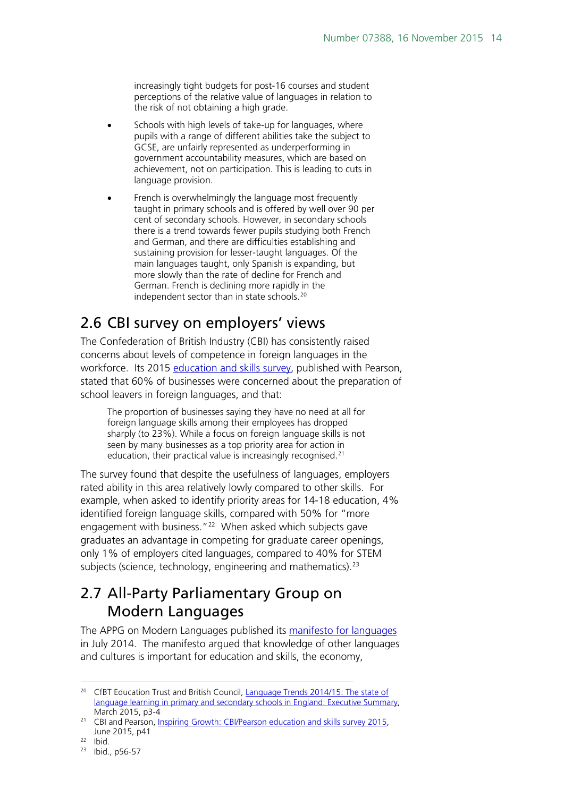increasingly tight budgets for post-16 courses and student perceptions of the relative value of languages in relation to the risk of not obtaining a high grade.

- Schools with high levels of take-up for languages, where pupils with a range of different abilities take the subject to GCSE, are unfairly represented as underperforming in government accountability measures, which are based on achievement, not on participation. This is leading to cuts in language provision.
- French is overwhelmingly the language most frequently taught in primary schools and is offered by well over 90 per cent of secondary schools. However, in secondary schools there is a trend towards fewer pupils studying both French and German, and there are difficulties establishing and sustaining provision for lesser-taught languages. Of the main languages taught, only Spanish is expanding, but more slowly than the rate of decline for French and German. French is declining more rapidly in the independent sector than in state schools.<sup>[20](#page-13-2)</sup>

### <span id="page-13-0"></span>2.6 CBI survey on employers' views

The Confederation of British Industry (CBI) has consistently raised concerns about levels of competence in foreign languages in the workforce. Its 2015 [education and skills survey,](http://news.cbi.org.uk/reports/education-and-skills-survey-2015/education-and-skills-survey-2015/) published with Pearson, stated that 60% of businesses were concerned about the preparation of school leavers in foreign languages, and that:

The proportion of businesses saying they have no need at all for foreign language skills among their employees has dropped sharply (to 23%). While a focus on foreign language skills is not seen by many businesses as a top priority area for action in education, their practical value is increasingly recognised.<sup>[21](#page-13-3)</sup>

The survey found that despite the usefulness of languages, employers rated ability in this area relatively lowly compared to other skills. For example, when asked to identify priority areas for 14-18 education, 4% identified foreign language skills, compared with 50% for "more engagement with business."<sup>[22](#page-13-4)</sup> When asked which subjects gave graduates an advantage in competing for graduate career openings, only 1% of employers cited languages, compared to 40% for STEM subjects (science, technology, engineering and mathematics).<sup>[23](#page-13-5)</sup>

## <span id="page-13-1"></span>2.7 All-Party Parliamentary Group on Modern Languages

The APPG on Modern Languages published its [manifesto for languages](http://www.all-languages.org.uk/news/news_list/appg_manifesto_for_languages) in July 2014. The manifesto argued that knowledge of other languages and cultures is important for education and skills, the economy,

<span id="page-13-2"></span><sup>&</sup>lt;sup>20</sup> CfBT Education Trust and British Council, Language Trends 2014/15: The state of [language learning in primary and secondary schools in England: Executive Summary,](https://www.cfbt.com/%7E/media/cfbtcorporate/files/research/2015/r-language-trends-summary-2015.pdf) March 2015, p3-4

<span id="page-13-3"></span><sup>&</sup>lt;sup>21</sup> CBI and Pearson, Inspiring Growth: CBI/Pearson education and skills survey 2015, June 2015, p41

<span id="page-13-5"></span><span id="page-13-4"></span><sup>22</sup> Ibid.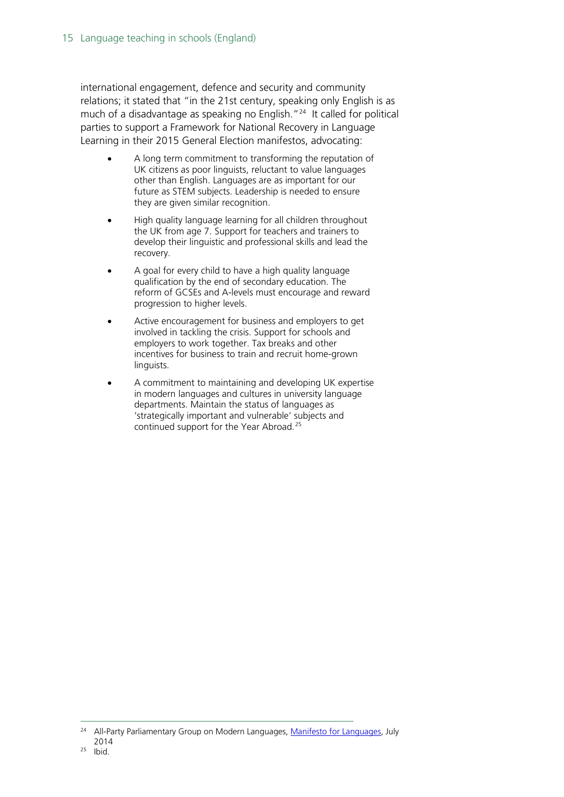international engagement, defence and security and community relations; it stated that "in the 21st century, speaking only English is as much of a disadvantage as speaking no English."<sup>[24](#page-14-0)</sup> It called for political parties to support a Framework for National Recovery in Language Learning in their 2015 General Election manifestos, advocating:

- A long term commitment to transforming the reputation of UK citizens as poor linguists, reluctant to value languages other than English. Languages are as important for our future as STEM subjects. Leadership is needed to ensure they are given similar recognition.
- High quality language learning for all children throughout the UK from age 7. Support for teachers and trainers to develop their linguistic and professional skills and lead the recovery.
- A goal for every child to have a high quality language qualification by the end of secondary education. The reform of GCSEs and A-levels must encourage and reward progression to higher levels.
- Active encouragement for business and employers to get involved in tackling the crisis. Support for schools and employers to work together. Tax breaks and other incentives for business to train and recruit home-grown linguists.
- A commitment to maintaining and developing UK expertise in modern languages and cultures in university language departments. Maintain the status of languages as 'strategically important and vulnerable' subjects and continued support for the Year Abroad.[25](#page-14-1)

<span id="page-14-0"></span><sup>&</sup>lt;sup>24</sup> All-Party Parliamentary Group on Modern Languages, [Manifesto for Languages,](http://www.all-languages.org.uk/uploads/files/Press%20Releases/APPGManifestoforLangs-EmbargoTo14July.pdf) July 2014

<span id="page-14-1"></span> $25$  Ibid.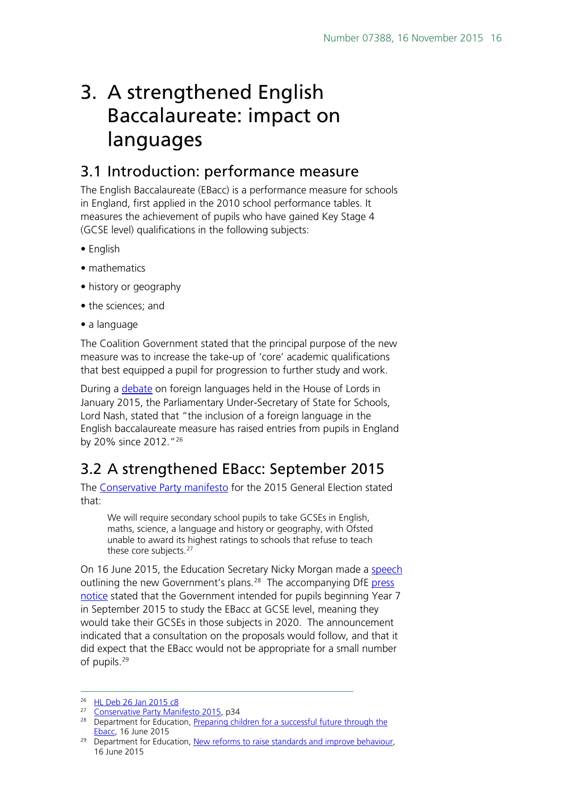## <span id="page-15-0"></span>3. A strengthened English Baccalaureate: impact on languages

### <span id="page-15-1"></span>3.1 Introduction: performance measure

The English Baccalaureate (EBacc) is a performance measure for schools in England, first applied in the 2010 school performance tables. It measures the achievement of pupils who have gained Key Stage 4 (GCSE level) qualifications in the following subjects:

- English
- mathematics
- history or geography
- the sciences; and
- a language

The Coalition Government stated that the principal purpose of the new measure was to increase the take-up of 'core' academic qualifications that best equipped a pupil for progression to further study and work.

During a [debate](http://www.publications.parliament.uk/pa/ld201415/ldhansrd/text/150126-0001.htm#15012613000051) on foreign languages held in the House of Lords in January 2015, the Parliamentary Under-Secretary of State for Schools, Lord Nash, stated that "the inclusion of a foreign language in the English baccalaureate measure has raised entries from pupils in England by 20% since 2012."[26](#page-15-3)

## <span id="page-15-2"></span>3.2 A strengthened EBacc: September 2015

The [Conservative Party manifesto](https://s3-eu-west-1.amazonaws.com/manifesto2015/ConservativeManifesto2015.pdf) for the 2015 General Election stated that:

We will require secondary school pupils to take GCSEs in English, maths, science, a language and history or geography, with Ofsted unable to award its highest ratings to schools that refuse to teach these core subjects.<sup>[27](#page-15-4)</sup>

On 16 June 2015, the Education Secretary Nicky Morgan made a [speech](https://www.gov.uk/government/speeches/preparing-children-for-a-successful-future-through-the-ebacc) outlining the new Government's plans.<sup>28</sup> The accompanying DfE press [notice](https://www.gov.uk/government/news/new-reforms-to-raise-standards-and-improve-behaviour) stated that the Government intended for pupils beginning Year 7 in September 2015 to study the EBacc at GCSE level, meaning they would take their GCSEs in those subjects in 2020. The announcement indicated that a consultation on the proposals would follow, and that it did expect that the EBacc would not be appropriate for a small number of pupils.<sup>[29](#page-15-6)</sup>

<span id="page-15-3"></span> <sup>26</sup> [HL Deb 26 Jan 2015 c8](http://www.publications.parliament.uk/pa/ld201415/ldhansrd/text/150126-0001.htm#15012613000051)

<span id="page-15-4"></span><sup>27</sup> [Conservative Party Manifesto 2015,](https://s3-eu-west-1.amazonaws.com/manifesto2015/ConservativeManifesto2015.pdf) p34

<span id="page-15-5"></span><sup>&</sup>lt;sup>28</sup> Department for Education, Preparing children for a successful future through the [Ebacc,](https://www.gov.uk/government/speeches/preparing-children-for-a-successful-future-through-the-ebacc) 16 June 2015

<span id="page-15-6"></span><sup>&</sup>lt;sup>29</sup> Department for Education, [New reforms to raise standards and improve behaviour,](https://www.gov.uk/government/news/new-reforms-to-raise-standards-and-improve-behaviour) 16 June 2015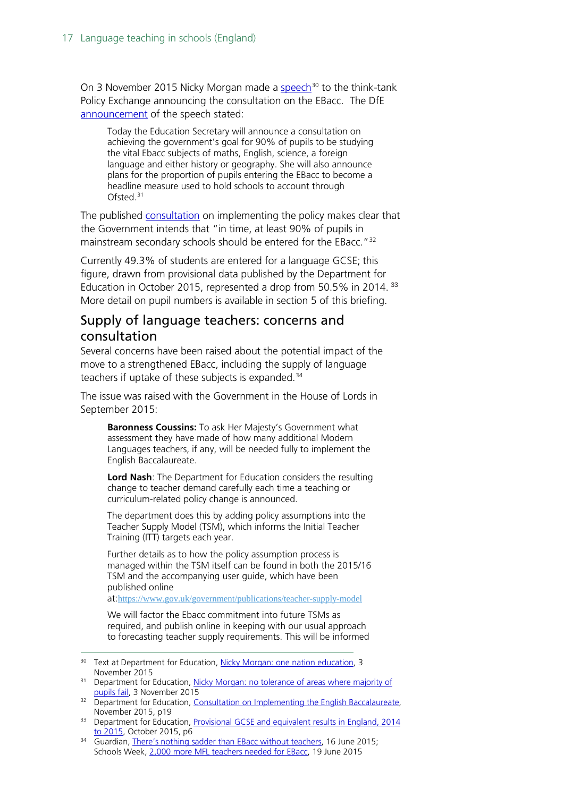On 3 November 2015 Nicky Morgan made a [speech](https://www.gov.uk/government/speeches/nicky-morgan-one-nation-education)<sup>[30](#page-16-1)</sup> to the think-tank Policy Exchange announcing the consultation on the EBacc. The DfE [announcement](https://www.gov.uk/government/news/nicky-morgan-no-tolerance-of-areas-where-majority-of-pupils-fail) of the speech stated:

Today the Education Secretary will announce a consultation on achieving the government's goal for 90% of pupils to be studying the vital Ebacc subjects of maths, English, science, a foreign language and either history or geography. She will also announce plans for the proportion of pupils entering the EBacc to become a headline measure used to hold schools to account through Ofsted.<sup>[31](#page-16-2)</sup>

The published [consultation](https://www.gov.uk/government/uploads/system/uploads/attachment_data/file/473455/Consultation_on_implementing_the_English_Baccalaureate.pdf) on implementing the policy makes clear that the Government intends that "in time, at least 90% of pupils in mainstream secondary schools should be entered for the EBacc."<sup>[32](#page-16-3)</sup>

Currently 49.3% of students are entered for a language GCSE; this figure, drawn from provisional data published by the Department for Education in October 2015, represented a drop from 50.5% in 2014.<sup>[33](#page-16-4)</sup> More detail on pupil numbers is available in section 5 of this briefing.

#### <span id="page-16-0"></span>Supply of language teachers: concerns and consultation

Several concerns have been raised about the potential impact of the move to a strengthened EBacc, including the supply of language teachers if uptake of these subjects is expanded.<sup>[34](#page-16-5)</sup>

The issue was raised with the Government in the House of Lords in September 2015:

**Baronness Coussins:** To ask Her Majesty's Government what assessment they have made of how many additional Modern Languages teachers, if any, will be needed fully to implement the English Baccalaureate.

**Lord Nash**: The Department for Education considers the resulting change to teacher demand carefully each time a teaching or curriculum-related policy change is announced.

The department does this by adding policy assumptions into the Teacher Supply Model (TSM), which informs the Initial Teacher Training (ITT) targets each year.

Further details as to how the policy assumption process is managed within the TSM itself can be found in both the 2015/16 TSM and the accompanying user guide, which have been published online

at:<https://www.gov.uk/government/publications/teacher-supply-model>

We will factor the Ebacc commitment into future TSMs as required, and publish online in keeping with our usual approach to forecasting teacher supply requirements. This will be informed

<span id="page-16-1"></span><sup>&</sup>lt;sup>30</sup> Text at Department for Education, [Nicky Morgan: one nation education,](https://www.gov.uk/government/speeches/nicky-morgan-one-nation-education) 3 November 2015

<span id="page-16-2"></span><sup>&</sup>lt;sup>31</sup> Department for Education, Nicky Morgan: no tolerance of areas where majority of [pupils fail,](https://www.gov.uk/government/news/nicky-morgan-no-tolerance-of-areas-where-majority-of-pupils-fail) 3 November 2015

<span id="page-16-3"></span><sup>&</sup>lt;sup>32</sup> Department for Education, Consultation on Implementing the English Baccalaureate, November 2015, p19

<span id="page-16-4"></span><sup>&</sup>lt;sup>33</sup> Department for Education, Provisional GCSE and equivalent results in England, 2014 [to 2015,](https://www.gov.uk/government/uploads/system/uploads/attachment_data/file/467603/SFR37_2015.pdf) October 2015, p6

<span id="page-16-5"></span><sup>&</sup>lt;sup>34</sup> Guardian, [There's nothing sadder than EBacc without teachers,](http://www.theguardian.com/education/2015/jun/16/ebacc-teachers-gcse-subjects) 16 June 2015; Schools Week, [2,000 more MFL teachers needed for EBacc,](http://schoolsweek.co.uk/2000-more-mfl-teachers-needed-for-ebacc/) 19 June 2015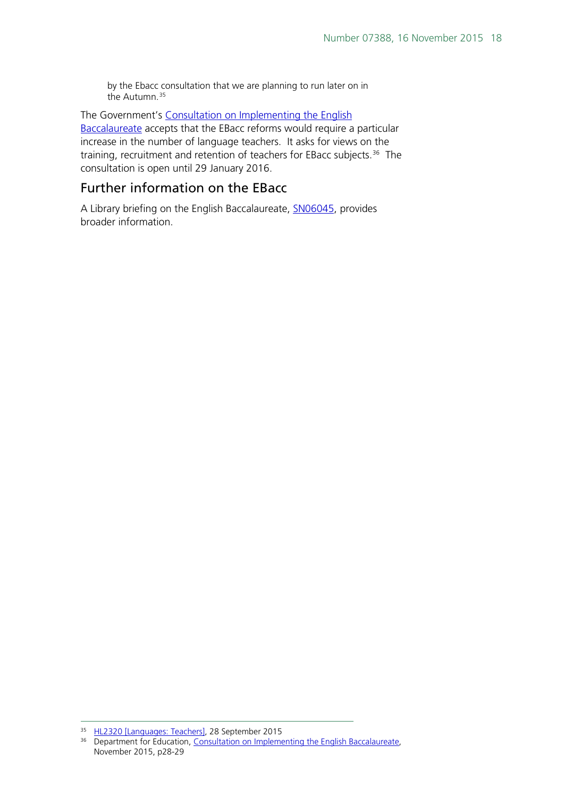by the Ebacc consultation that we are planning to run later on in the Autumn.<sup>[35](#page-17-0)</sup>

The Government's [Consultation on Implementing the English](https://www.gov.uk/government/uploads/system/uploads/attachment_data/file/473455/Consultation_on_implementing_the_English_Baccalaureate.pdf)  [Baccalaureate](https://www.gov.uk/government/uploads/system/uploads/attachment_data/file/473455/Consultation_on_implementing_the_English_Baccalaureate.pdf) accepts that the EBacc reforms would require a particular increase in the number of language teachers. It asks for views on the training, recruitment and retention of teachers for EBacc subjects.<sup>36</sup> The consultation is open until 29 January 2016.

#### Further information on the EBacc

A Library briefing on the English Baccalaureate, [SN06045,](http://researchbriefings.parliament.uk/ResearchBriefing/Summary/SN06045) provides broader information.

<span id="page-17-0"></span><sup>35</sup> [HL2320 \[Languages: Teachers\],](http://www.parliament.uk/written-questions-answers-statements/written-question/lords/2015-09-17/HL2320) 28 September 2015

<span id="page-17-1"></span><sup>&</sup>lt;sup>36</sup> Department for Education, Consultation on Implementing the English Baccalaureate, November 2015, p28-29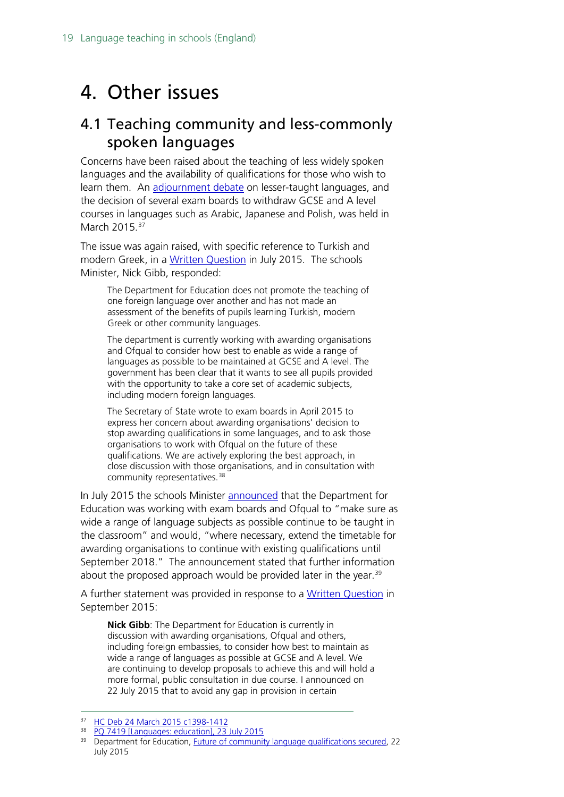## <span id="page-18-0"></span>4. Other issues

## <span id="page-18-1"></span>4.1 Teaching community and less-commonly spoken languages

Concerns have been raised about the teaching of less widely spoken languages and the availability of qualifications for those who wish to learn them. An [adjournment debate](http://www.publications.parliament.uk/pa/cm201415/cmhansrd/cm150324/debtext/150324-0004.htm#15032473000009) on lesser-taught languages, and the decision of several exam boards to withdraw GCSE and A level courses in languages such as Arabic, Japanese and Polish, was held in March 2015.<sup>[37](#page-18-2)</sup>

The issue was again raised, with specific reference to Turkish and modern Greek, in a [Written Question](http://www.parliament.uk/written-questions-answers-statements/written-question/commons/2015-07-15/7419) in July 2015. The schools Minister, Nick Gibb, responded:

The Department for Education does not promote the teaching of one foreign language over another and has not made an assessment of the benefits of pupils learning Turkish, modern Greek or other community languages.

The department is currently working with awarding organisations and Ofqual to consider how best to enable as wide a range of languages as possible to be maintained at GCSE and A level. The government has been clear that it wants to see all pupils provided with the opportunity to take a core set of academic subjects, including modern foreign languages.

The Secretary of State wrote to exam boards in April 2015 to express her concern about awarding organisations' decision to stop awarding qualifications in some languages, and to ask those organisations to work with Ofqual on the future of these qualifications. We are actively exploring the best approach, in close discussion with those organisations, and in consultation with community representatives.<sup>[38](#page-18-3)</sup>

In July 2015 the schools Minister [announced](https://www.gov.uk/government/news/future-of-community-language-qualifications-secured) that the Department for Education was working with exam boards and Ofqual to "make sure as wide a range of language subjects as possible continue to be taught in the classroom" and would, "where necessary, extend the timetable for awarding organisations to continue with existing qualifications until September 2018." The announcement stated that further information about the proposed approach would be provided later in the year.<sup>[39](#page-18-4)</sup>

A further statement was provided in response to a [Written Question](http://www.parliament.uk/written-questions-answers-statements/written-question/commons/2015-09-04/8740) in September 2015:

**Nick Gibb**: The Department for Education is currently in discussion with awarding organisations, Ofqual and others, including foreign embassies, to consider how best to maintain as wide a range of languages as possible at GCSE and A level. We are continuing to develop proposals to achieve this and will hold a more formal, public consultation in due course. I announced on 22 July 2015 that to avoid any gap in provision in certain

<span id="page-18-2"></span><sup>37</sup> [HC Deb 24 March 2015 c1398-1412](http://www.publications.parliament.uk/pa/cm201415/cmhansrd/cm150324/debtext/150324-0004.htm#15032473000009)

<span id="page-18-3"></span><sup>38</sup> [PQ 7419 \[Languages: education\], 23 July 2015](http://www.parliament.uk/written-questions-answers-statements/written-question/commons/2015-07-15/7419)

<span id="page-18-4"></span><sup>&</sup>lt;sup>39</sup> Department for Education, [Future of community language qualifications secured,](https://www.gov.uk/government/news/future-of-community-language-qualifications-secured) 22 July 2015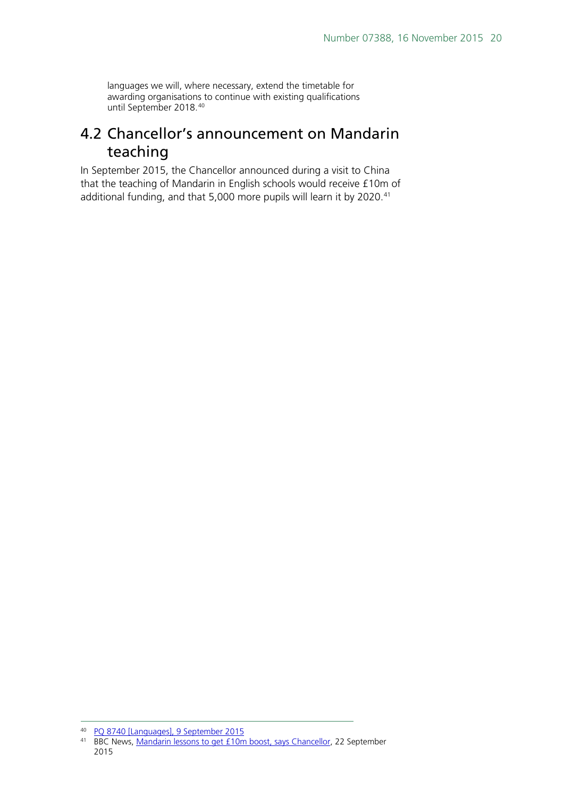languages we will, where necessary, extend the timetable for awarding organisations to continue with existing qualifications until September 2018.[40](#page-19-1)

### <span id="page-19-0"></span>4.2 Chancellor's announcement on Mandarin teaching

In September 2015, the Chancellor announced during a visit to China that the teaching of Mandarin in English schools would receive £10m of additional funding, and that 5,000 more pupils will learn it by 2020. [41](#page-19-2)

 <sup>40</sup> [PQ 8740 \[Languages\], 9 September 2015](http://www.parliament.uk/written-questions-answers-statements/written-question/commons/2015-09-04/8740)

<span id="page-19-2"></span><span id="page-19-1"></span><sup>&</sup>lt;sup>41</sup> BBC News, [Mandarin lessons to get £10m boost, says Chancellor,](http://www.bbc.co.uk/news/education-34331189) 22 September 2015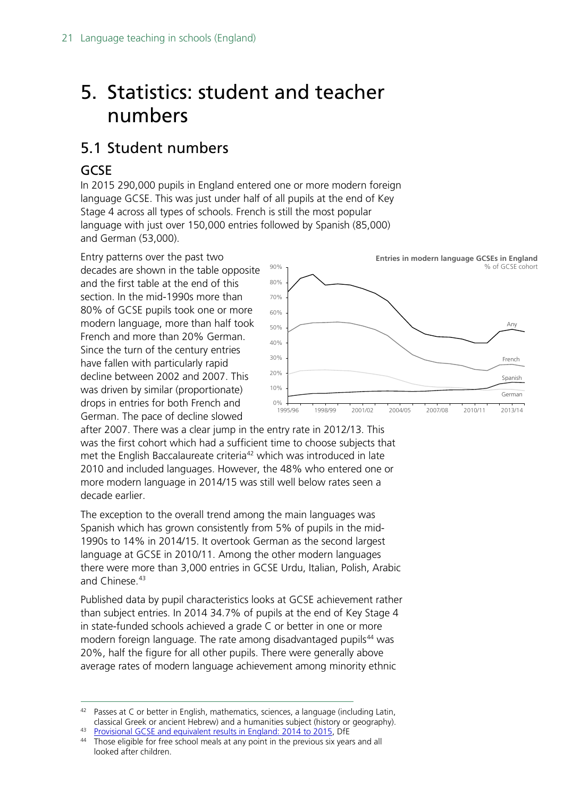## <span id="page-20-0"></span>5. Statistics: student and teacher numbers

## <span id="page-20-1"></span>5.1 Student numbers

#### <span id="page-20-2"></span>GCSE

In 2015 290,000 pupils in England entered one or more modern foreign language GCSE. This was just under half of all pupils at the end of Key Stage 4 across all types of schools. French is still the most popular language with just over 150,000 entries followed by Spanish (85,000) and German (53,000).

Entry patterns over the past two decades are shown in the table opposite and the first table at the end of this section. In the mid-1990s more than 80% of GCSE pupils took one or more modern language, more than half took French and more than 20% German. Since the turn of the century entries have fallen with particularly rapid decline between 2002 and 2007. This was driven by similar (proportionate) drops in entries for both French and German. The pace of decline slowed



after 2007. There was a clear jump in the entry rate in 2012/13. This was the first cohort which had a sufficient time to choose subjects that met the English Baccalaureate criteria<sup>[42](#page-20-3)</sup> which was introduced in late 2010 and included languages. However, the 48% who entered one or more modern language in 2014/15 was still well below rates seen a decade earlier.

The exception to the overall trend among the main languages was Spanish which has grown consistently from 5% of pupils in the mid-1990s to 14% in 2014/15. It overtook German as the second largest language at GCSE in 2010/11. Among the other modern languages there were more than 3,000 entries in GCSE Urdu, Italian, Polish, Arabic and Chinese.<sup>[43](#page-20-4)</sup>

Published data by pupil characteristics looks at GCSE achievement rather than subject entries. In 2014 34.7% of pupils at the end of Key Stage 4 in state-funded schools achieved a grade C or better in one or more modern foreign language. The rate among disadvantaged pupils<sup>44</sup> was 20%, half the figure for all other pupils. There were generally above average rates of modern language achievement among minority ethnic

<span id="page-20-3"></span><sup>&</sup>lt;sup>42</sup> Passes at C or better in English, mathematics, sciences, a language (including Latin, classical Greek or ancient Hebrew) and a humanities subject (history or geography).

<span id="page-20-4"></span><sup>43</sup> [Provisional GCSE and equivalent results in England: 2014 to 2015,](https://www.gov.uk/government/statistics/provisional-gcse-and-equivalent-results-in-england-2014-to-2015) DfE

<span id="page-20-5"></span><sup>&</sup>lt;sup>44</sup> Those eligible for free school meals at any point in the previous six years and all looked after children.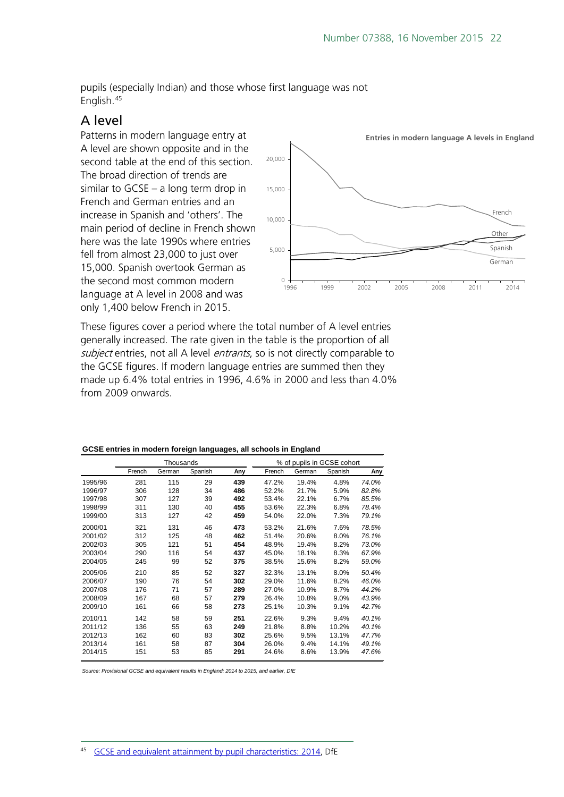pupils (especially Indian) and those whose first language was not English.[45](#page-21-1)

#### <span id="page-21-0"></span>A level

Patterns in modern language entry at A level are shown opposite and in the second table at the end of this section. The broad direction of trends are similar to GCSE – a long term drop in French and German entries and an increase in Spanish and 'others'. The main period of decline in French shown here was the late 1990s where entries fell from almost 23,000 to just over 15,000. Spanish overtook German as the second most common modern language at A level in 2008 and was only 1,400 below French in 2015.



These figures cover a period where the total number of A level entries generally increased. The rate given in the table is the proportion of all subject entries, not all A level *entrants*, so is not directly comparable to the GCSE figures. If modern language entries are summed then they made up 6.4% total entries in 1996, 4.6% in 2000 and less than 4.0% from 2009 onwards.

|         | Thousands |        |         | % of pupils in GCSE cohort |        |        |         |       |
|---------|-----------|--------|---------|----------------------------|--------|--------|---------|-------|
|         | French    | German | Spanish | Any                        | French | German | Spanish | Any   |
| 1995/96 | 281       | 115    | 29      | 439                        | 47.2%  | 19.4%  | 4.8%    | 74.0% |
| 1996/97 | 306       | 128    | 34      | 486                        | 52.2%  | 21.7%  | 5.9%    | 82.8% |
| 1997/98 | 307       | 127    | 39      | 492                        | 53.4%  | 22.1%  | 6.7%    | 85.5% |
| 1998/99 | 311       | 130    | 40      | 455                        | 53.6%  | 22.3%  | 6.8%    | 78.4% |
| 1999/00 | 313       | 127    | 42      | 459                        | 54.0%  | 22.0%  | 7.3%    | 79.1% |
| 2000/01 | 321       | 131    | 46      | 473                        | 53.2%  | 21.6%  | 7.6%    | 78.5% |
| 2001/02 | 312       | 125    | 48      | 462                        | 51.4%  | 20.6%  | 8.0%    | 76.1% |
| 2002/03 | 305       | 121    | 51      | 454                        | 48.9%  | 19.4%  | 8.2%    | 73.0% |
| 2003/04 | 290       | 116    | 54      | 437                        | 45.0%  | 18.1%  | 8.3%    | 67.9% |
| 2004/05 | 245       | 99     | 52      | 375                        | 38.5%  | 15.6%  | 8.2%    | 59.0% |
| 2005/06 | 210       | 85     | 52      | 327                        | 32.3%  | 13.1%  | 8.0%    | 50.4% |
| 2006/07 | 190       | 76     | 54      | 302                        | 29.0%  | 11.6%  | 8.2%    | 46.0% |
| 2007/08 | 176       | 71     | 57      | 289                        | 27.0%  | 10.9%  | 8.7%    | 44.2% |
| 2008/09 | 167       | 68     | 57      | 279                        | 26.4%  | 10.8%  | 9.0%    | 43.9% |
| 2009/10 | 161       | 66     | 58      | 273                        | 25.1%  | 10.3%  | 9.1%    | 42.7% |
| 2010/11 | 142       | 58     | 59      | 251                        | 22.6%  | 9.3%   | 9.4%    | 40.1% |
| 2011/12 | 136       | 55     | 63      | 249                        | 21.8%  | 8.8%   | 10.2%   | 40.1% |
| 2012/13 | 162       | 60     | 83      | 302                        | 25.6%  | 9.5%   | 13.1%   | 47.7% |
| 2013/14 | 161       | 58     | 87      | 304                        | 26.0%  | 9.4%   | 14.1%   | 49.1% |
| 2014/15 | 151       | 53     | 85      | 291                        | 24.6%  | 8.6%   | 13.9%   | 47.6% |

#### **GCSE entries in modern foreign languages, all schools in England**

<span id="page-21-1"></span>*Source: Provisional GCSE and equivalent results in England: 2014 to 2015, and earlier, DfE*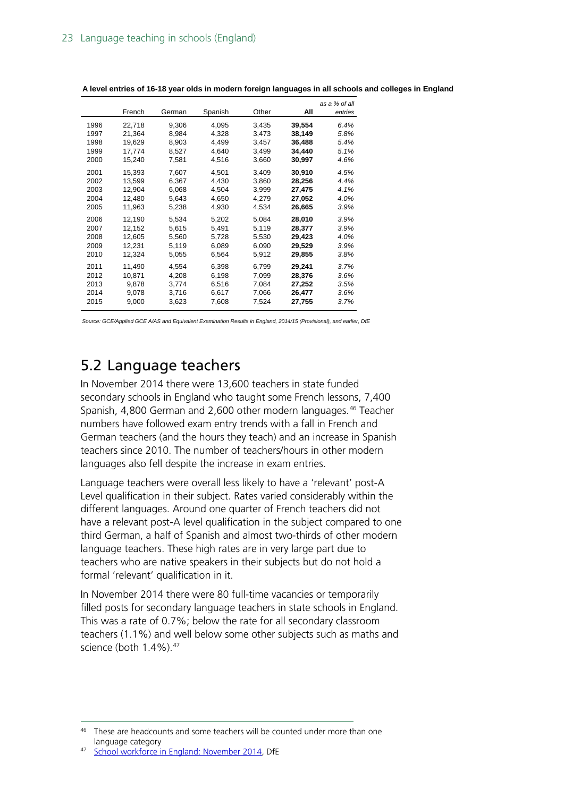|      | French | German | Spanish | Other | All    | as a % of all<br>entries |
|------|--------|--------|---------|-------|--------|--------------------------|
| 1996 | 22,718 | 9,306  | 4,095   | 3,435 | 39,554 | 6.4%                     |
| 1997 | 21,364 | 8,984  | 4,328   | 3,473 | 38,149 | 5.8%                     |
| 1998 | 19,629 | 8,903  | 4,499   | 3,457 | 36,488 | 5.4%                     |
| 1999 | 17,774 | 8,527  | 4,640   | 3,499 | 34,440 | 5.1%                     |
| 2000 | 15,240 | 7,581  | 4,516   | 3,660 | 30,997 | 4.6%                     |
| 2001 | 15,393 | 7,607  | 4,501   | 3,409 | 30,910 | 4.5%                     |
| 2002 | 13,599 | 6,367  | 4,430   | 3,860 | 28,256 | 4.4%                     |
| 2003 | 12,904 | 6,068  | 4,504   | 3,999 | 27,475 | 4.1%                     |
| 2004 | 12,480 | 5,643  | 4,650   | 4,279 | 27,052 | 4.0%                     |
| 2005 | 11,963 | 5,238  | 4,930   | 4,534 | 26,665 | 3.9%                     |
| 2006 | 12,190 | 5,534  | 5,202   | 5,084 | 28,010 | 3.9%                     |
| 2007 | 12,152 | 5,615  | 5.491   | 5,119 | 28,377 | 3.9%                     |
| 2008 | 12,605 | 5,560  | 5,728   | 5,530 | 29,423 | 4.0%                     |
| 2009 | 12,231 | 5,119  | 6,089   | 6,090 | 29,529 | 3.9%                     |
| 2010 | 12,324 | 5,055  | 6,564   | 5,912 | 29,855 | 3.8%                     |
| 2011 | 11,490 | 4,554  | 6,398   | 6,799 | 29,241 | 3.7%                     |
| 2012 | 10,871 | 4,208  | 6,198   | 7,099 | 28,376 | 3.6%                     |
| 2013 | 9.878  | 3,774  | 6,516   | 7,084 | 27,252 | 3.5%                     |
| 2014 | 9,078  | 3,716  | 6,617   | 7,066 | 26,477 | 3.6%                     |
| 2015 | 9,000  | 3,623  | 7,608   | 7,524 | 27,755 | 3.7%                     |

**A level entries of 16-18 year olds in modern foreign languages in all schools and colleges in England**

*Source: GCE/Applied GCE A/AS and Equivalent Examination Results in England, 2014/15 (Provisional), and earlier, DfE*

## <span id="page-22-0"></span>5.2 Language teachers

In November 2014 there were 13,600 teachers in state funded secondary schools in England who taught some French lessons, 7,400 Spanish, 4,800 German and 2,600 other modern languages.<sup>[46](#page-22-1)</sup> Teacher numbers have followed exam entry trends with a fall in French and German teachers (and the hours they teach) and an increase in Spanish teachers since 2010. The number of teachers/hours in other modern languages also fell despite the increase in exam entries.

Language teachers were overall less likely to have a 'relevant' post-A Level qualification in their subject. Rates varied considerably within the different languages. Around one quarter of French teachers did not have a relevant post-A level qualification in the subject compared to one third German, a half of Spanish and almost two-thirds of other modern language teachers. These high rates are in very large part due to teachers who are native speakers in their subjects but do not hold a formal 'relevant' qualification in it.

In November 2014 there were 80 full-time vacancies or temporarily filled posts for secondary language teachers in state schools in England. This was a rate of 0.7%; below the rate for all secondary classroom teachers (1.1%) and well below some other subjects such as maths and science (both 1.4%).<sup>[47](#page-22-2)</sup>

<span id="page-22-2"></span>[School workforce in England: November 2014,](https://www.gov.uk/government/statistics/school-workforce-in-england-november-2014) DfE

<span id="page-22-1"></span> $46$  These are headcounts and some teachers will be counted under more than one language category